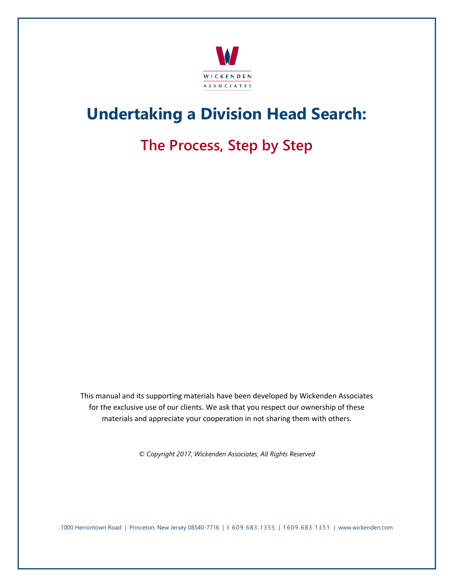

## **Undertaking a Division Head Search:**

## **The Process, Step by Step**

This manual and its supporting materials have been developed by Wickenden Associates for the exclusive use of our clients. We ask that you respect our ownership of these materials and appreciate your cooperation in not sharing them with others.

*© Copyright 2017, Wickenden Associates, All Rights Reserved* 

1000 Herrontown Road | Princeton, New Jersey 08540-7716 | t 609.683.1355 | f 609.683.1351 | www.wickenden.com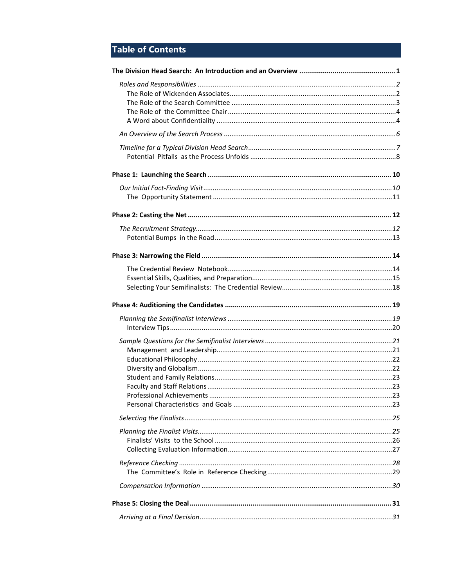## **Table of Contents**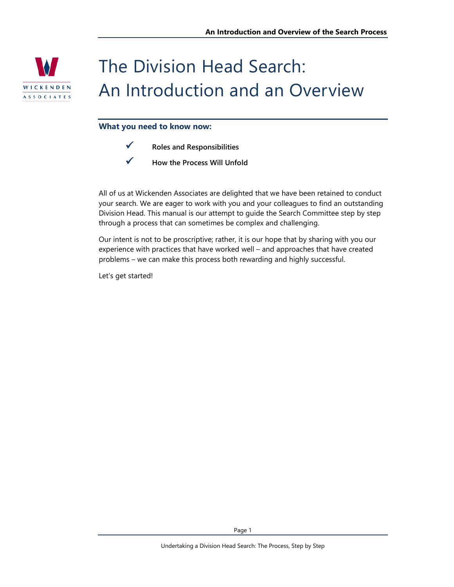

# The Division Head Search: An Introduction and an Overview

#### **What you need to know now:**

- **Roles and Responsibilities**
- **How the Process Will Unfold**

All of us at Wickenden Associates are delighted that we have been retained to conduct your search. We are eager to work with you and your colleagues to find an outstanding Division Head. This manual is our attempt to guide the Search Committee step by step through a process that can sometimes be complex and challenging.

Our intent is not to be proscriptive; rather, it is our hope that by sharing with you our experience with practices that have worked well – and approaches that have created problems – we can make this process both rewarding and highly successful.

Let's get started!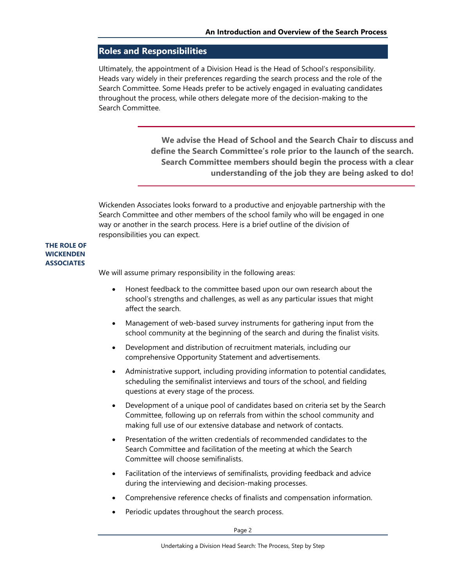### **Roles and Responsibilities**

Ultimately, the appointment of a Division Head is the Head of School's responsibility. Heads vary widely in their preferences regarding the search process and the role of the Search Committee. Some Heads prefer to be actively engaged in evaluating candidates throughout the process, while others delegate more of the decision-making to the Search Committee.

> **We advise the Head of School and the Search Chair to discuss and define the Search Committee's role prior to the launch of the search. Search Committee members should begin the process with a clear understanding of the job they are being asked to do!**

Wickenden Associates looks forward to a productive and enjoyable partnership with the Search Committee and other members of the school family who will be engaged in one way or another in the search process. Here is a brief outline of the division of responsibilities you can expect.

#### **THE ROLE OF WICKENDEN ASSOCIATES**

We will assume primary responsibility in the following areas:

- Honest feedback to the committee based upon our own research about the school's strengths and challenges, as well as any particular issues that might affect the search.
- Management of web-based survey instruments for gathering input from the school community at the beginning of the search and during the finalist visits.
- Development and distribution of recruitment materials, including our comprehensive Opportunity Statement and advertisements.
- Administrative support, including providing information to potential candidates, scheduling the semifinalist interviews and tours of the school, and fielding questions at every stage of the process.
- Development of a unique pool of candidates based on criteria set by the Search Committee, following up on referrals from within the school community and making full use of our extensive database and network of contacts.
- Presentation of the written credentials of recommended candidates to the Search Committee and facilitation of the meeting at which the Search Committee will choose semifinalists.
- Facilitation of the interviews of semifinalists, providing feedback and advice during the interviewing and decision-making processes.
- Comprehensive reference checks of finalists and compensation information.
- Periodic updates throughout the search process.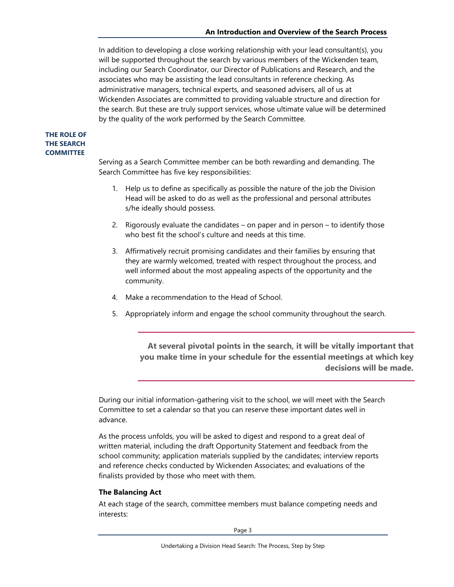In addition to developing a close working relationship with your lead consultant(s), you will be supported throughout the search by various members of the Wickenden team, including our Search Coordinator, our Director of Publications and Research, and the associates who may be assisting the lead consultants in reference checking. As administrative managers, technical experts, and seasoned advisers, all of us at Wickenden Associates are committed to providing valuable structure and direction for the search. But these are truly support services, whose ultimate value will be determined by the quality of the work performed by the Search Committee.

#### **THE ROLE OF THE SEARCH COMMITTEE**

Serving as a Search Committee member can be both rewarding and demanding. The Search Committee has five key responsibilities:

- 1. Help us to define as specifically as possible the nature of the job the Division Head will be asked to do as well as the professional and personal attributes s/he ideally should possess.
- 2. Rigorously evaluate the candidates on paper and in person to identify those who best fit the school's culture and needs at this time.
- 3. Affirmatively recruit promising candidates and their families by ensuring that they are warmly welcomed, treated with respect throughout the process, and well informed about the most appealing aspects of the opportunity and the community.
- 4. Make a recommendation to the Head of School.
- 5. Appropriately inform and engage the school community throughout the search.

**At several pivotal points in the search, it will be vitally important that you make time in your schedule for the essential meetings at which key decisions will be made.** 

During our initial information-gathering visit to the school, we will meet with the Search Committee to set a calendar so that you can reserve these important dates well in advance.

As the process unfolds, you will be asked to digest and respond to a great deal of written material, including the draft Opportunity Statement and feedback from the school community; application materials supplied by the candidates; interview reports and reference checks conducted by Wickenden Associates; and evaluations of the finalists provided by those who meet with them.

#### **The Balancing Act**

At each stage of the search, committee members must balance competing needs and interests: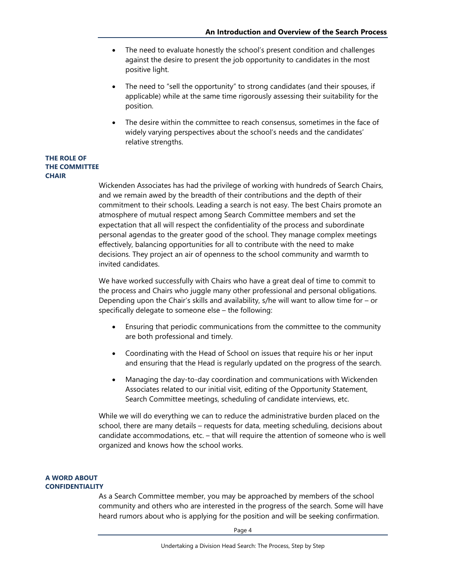- The need to evaluate honestly the school's present condition and challenges against the desire to present the job opportunity to candidates in the most positive light.
- The need to "sell the opportunity" to strong candidates (and their spouses, if applicable) while at the same time rigorously assessing their suitability for the position.
- The desire within the committee to reach consensus, sometimes in the face of widely varying perspectives about the school's needs and the candidates' relative strengths.

#### **THE ROLE OF THE COMMITTEE CHAIR**

Wickenden Associates has had the privilege of working with hundreds of Search Chairs, and we remain awed by the breadth of their contributions and the depth of their commitment to their schools. Leading a search is not easy. The best Chairs promote an atmosphere of mutual respect among Search Committee members and set the expectation that all will respect the confidentiality of the process and subordinate personal agendas to the greater good of the school. They manage complex meetings effectively, balancing opportunities for all to contribute with the need to make decisions. They project an air of openness to the school community and warmth to invited candidates.

We have worked successfully with Chairs who have a great deal of time to commit to the process and Chairs who juggle many other professional and personal obligations. Depending upon the Chair's skills and availability, s/he will want to allow time for – or specifically delegate to someone else – the following:

- Ensuring that periodic communications from the committee to the community are both professional and timely.
- Coordinating with the Head of School on issues that require his or her input and ensuring that the Head is regularly updated on the progress of the search.
- Managing the day-to-day coordination and communications with Wickenden Associates related to our initial visit, editing of the Opportunity Statement, Search Committee meetings, scheduling of candidate interviews, etc.

While we will do everything we can to reduce the administrative burden placed on the school, there are many details – requests for data, meeting scheduling, decisions about candidate accommodations, etc. – that will require the attention of someone who is well organized and knows how the school works.

#### **A WORD ABOUT CONFIDENTIALITY**

As a Search Committee member, you may be approached by members of the school community and others who are interested in the progress of the search. Some will have heard rumors about who is applying for the position and will be seeking confirmation.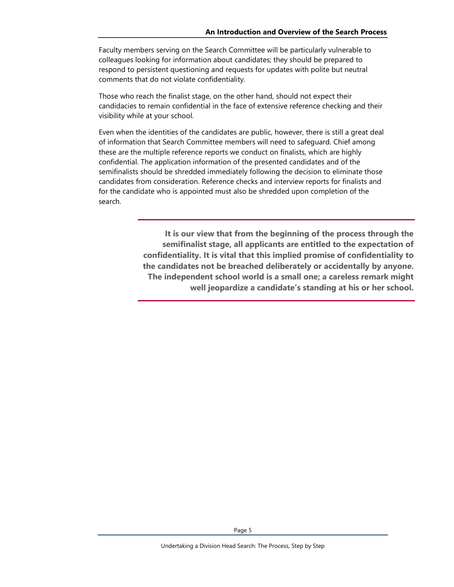Faculty members serving on the Search Committee will be particularly vulnerable to colleagues looking for information about candidates; they should be prepared to respond to persistent questioning and requests for updates with polite but neutral comments that do not violate confidentiality.

Those who reach the finalist stage, on the other hand, should not expect their candidacies to remain confidential in the face of extensive reference checking and their visibility while at your school.

Even when the identities of the candidates are public, however, there is still a great deal of information that Search Committee members will need to safeguard. Chief among these are the multiple reference reports we conduct on finalists, which are highly confidential. The application information of the presented candidates and of the semifinalists should be shredded immediately following the decision to eliminate those candidates from consideration. Reference checks and interview reports for finalists and for the candidate who is appointed must also be shredded upon completion of the search.

> **It is our view that from the beginning of the process through the semifinalist stage, all applicants are entitled to the expectation of confidentiality. It is vital that this implied promise of confidentiality to the candidates not be breached deliberately or accidentally by anyone. The independent school world is a small one; a careless remark might well jeopardize a candidate's standing at his or her school.**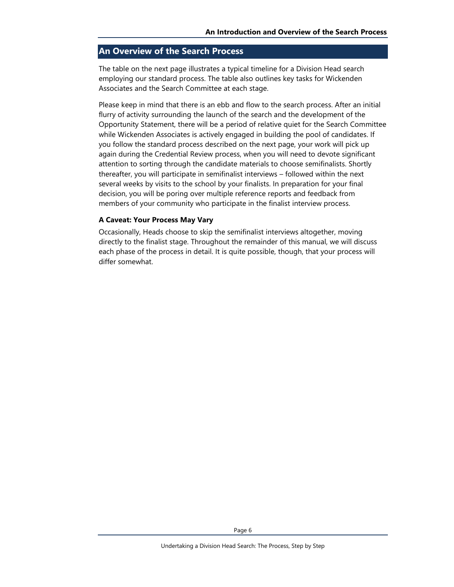### **An Overview of the Search Process**

The table on the next page illustrates a typical timeline for a Division Head search employing our standard process. The table also outlines key tasks for Wickenden Associates and the Search Committee at each stage.

Please keep in mind that there is an ebb and flow to the search process. After an initial flurry of activity surrounding the launch of the search and the development of the Opportunity Statement, there will be a period of relative quiet for the Search Committee while Wickenden Associates is actively engaged in building the pool of candidates. If you follow the standard process described on the next page, your work will pick up again during the Credential Review process, when you will need to devote significant attention to sorting through the candidate materials to choose semifinalists. Shortly thereafter, you will participate in semifinalist interviews – followed within the next several weeks by visits to the school by your finalists. In preparation for your final decision, you will be poring over multiple reference reports and feedback from members of your community who participate in the finalist interview process.

#### **A Caveat: Your Process May Vary**

Occasionally, Heads choose to skip the semifinalist interviews altogether, moving directly to the finalist stage. Throughout the remainder of this manual, we will discuss each phase of the process in detail. It is quite possible, though, that your process will differ somewhat.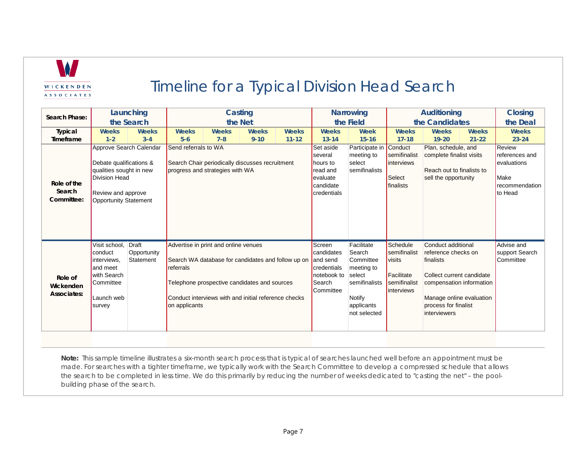

## Timeline for a Typical Division Head Search

| Search Phase:                       |                                                                                                                                               | Launching                                | Casting                                                                                                                                                                                                                          |              |              | <b>Narrowing</b>                                                                             |                                                                                                                    | <b>Auditioning</b>                                                                                                                                                             |                                                                                                                                                                                     |           | <b>Closing</b>                                                                                           |              |
|-------------------------------------|-----------------------------------------------------------------------------------------------------------------------------------------------|------------------------------------------|----------------------------------------------------------------------------------------------------------------------------------------------------------------------------------------------------------------------------------|--------------|--------------|----------------------------------------------------------------------------------------------|--------------------------------------------------------------------------------------------------------------------|--------------------------------------------------------------------------------------------------------------------------------------------------------------------------------|-------------------------------------------------------------------------------------------------------------------------------------------------------------------------------------|-----------|----------------------------------------------------------------------------------------------------------|--------------|
|                                     | the Search                                                                                                                                    |                                          | the Net                                                                                                                                                                                                                          |              |              | the Field                                                                                    |                                                                                                                    | the Candidates                                                                                                                                                                 |                                                                                                                                                                                     |           | the Deal                                                                                                 |              |
| <b>Typical</b>                      | <b>Weeks</b>                                                                                                                                  | <b>Weeks</b>                             | <b>Weeks</b>                                                                                                                                                                                                                     | <b>Weeks</b> | <b>Weeks</b> | <b>Weeks</b>                                                                                 | Weeks                                                                                                              | Week                                                                                                                                                                           | <b>Weeks</b>                                                                                                                                                                        | Weeks     | Weeks                                                                                                    | <b>Weeks</b> |
| Timeframe                           | $1 - 2$                                                                                                                                       | $3 - 4$                                  | $5-6$                                                                                                                                                                                                                            | $7 - 8$      | $9 - 10$     | $11 - 12$                                                                                    | $13 - 14$                                                                                                          | $15 - 16$                                                                                                                                                                      | $17 - 18$                                                                                                                                                                           | $19 - 20$ | $21 - 22$                                                                                                | $23 - 24$    |
| Role of the<br>Search<br>Committee: | Approve Search Calendar<br>Debate qualifications &<br>qualities sought in new<br>Division Head<br>Review and approve<br>Opportunity Statement |                                          | Send referrals to WA<br>Search Chair periodically discusses recruitment<br>progress and strategies with WA                                                                                                                       |              |              | Set aside<br>several<br>hours to<br>read and<br>evaluate<br>candidate<br>credentials         | Participate in<br>meeting to<br>select<br>semifinalists                                                            | Conduct<br>Plan, schedule, and<br>semifinalist<br>complete finalist visits<br>linterviews<br>Reach out to finalists to<br>Select<br>sell the opportunity<br><i>I</i> finalists |                                                                                                                                                                                     |           | Review<br>references and<br><b>l</b> evaluations<br><b>I</b> Make<br>Irecommendation<br><b>I</b> to Head |              |
| Role of<br>Wickenden<br>Associates: | Visit school.<br>conduct<br>linterviews.<br>and meet<br>with Search<br><b>Committee</b><br>Launch web<br>survey                               | <b>Draft</b><br>Opportunity<br>Statement | Advertise in print and online venues<br>Search WA database for candidates and follow up on<br>referrals<br>Telephone prospective candidates and sources<br>Conduct interviews with and initial reference checks<br>on applicants |              |              | Screen<br>candidates<br>and send<br>credentials<br>notebook to<br>Search<br><b>Committee</b> | Facilitate<br>Search<br>Committee<br>meeting to<br>select<br>semifinalists<br>Notify<br>applicants<br>not selected | Schedule<br>semifinalist<br><b>Visits</b><br>Facilitate<br>semifinalist<br>linterviews                                                                                         | Conduct additional<br>reference checks on<br>finalists<br>Collect current candidate<br>compensation information<br>Manage online evaluation<br>process for finalist<br>interviewers |           | Advise and<br>support Search<br>Committee                                                                |              |

**Note:** This sample timeline illustrates a six-month search process that is typical of searches launched well before an appointment must be made. For searches with a tighter timeframe, we typically work with the Search Committee to develop a compressed schedule that allows the search to be completed in less time. We do this primarily by reducing the number of weeks dedicated to "casting the net" – the poolbuilding phase of the search.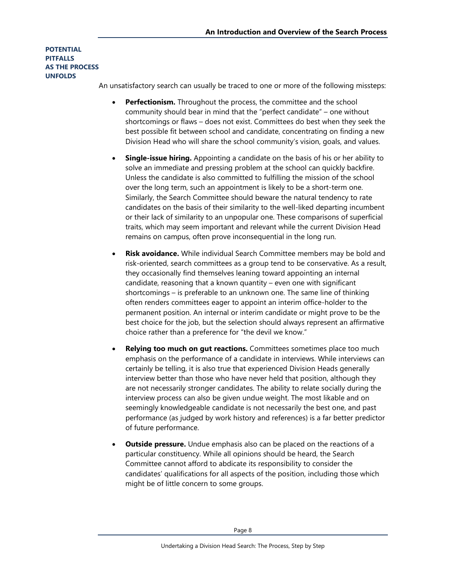#### **POTENTIAL PITFALLS AS THE PROCESS UNFOLDS**

An unsatisfactory search can usually be traced to one or more of the following missteps:

- **Perfectionism.** Throughout the process, the committee and the school community should bear in mind that the "perfect candidate" – one without shortcomings or flaws – does not exist. Committees do best when they seek the best possible fit between school and candidate, concentrating on finding a new Division Head who will share the school community's vision, goals, and values.
- **Single-issue hiring.** Appointing a candidate on the basis of his or her ability to solve an immediate and pressing problem at the school can quickly backfire. Unless the candidate is also committed to fulfilling the mission of the school over the long term, such an appointment is likely to be a short-term one. Similarly, the Search Committee should beware the natural tendency to rate candidates on the basis of their similarity to the well-liked departing incumbent or their lack of similarity to an unpopular one. These comparisons of superficial traits, which may seem important and relevant while the current Division Head remains on campus, often prove inconsequential in the long run.
- **Risk avoidance.** While individual Search Committee members may be bold and risk-oriented, search committees as a group tend to be conservative. As a result, they occasionally find themselves leaning toward appointing an internal candidate, reasoning that a known quantity – even one with significant shortcomings – is preferable to an unknown one. The same line of thinking often renders committees eager to appoint an interim office-holder to the permanent position. An internal or interim candidate or might prove to be the best choice for the job, but the selection should always represent an affirmative choice rather than a preference for "the devil we know."
- **Relying too much on gut reactions.** Committees sometimes place too much emphasis on the performance of a candidate in interviews. While interviews can certainly be telling, it is also true that experienced Division Heads generally interview better than those who have never held that position, although they are not necessarily stronger candidates. The ability to relate socially during the interview process can also be given undue weight. The most likable and on seemingly knowledgeable candidate is not necessarily the best one, and past performance (as judged by work history and references) is a far better predictor of future performance.
- **Outside pressure.** Undue emphasis also can be placed on the reactions of a particular constituency. While all opinions should be heard, the Search Committee cannot afford to abdicate its responsibility to consider the candidates' qualifications for all aspects of the position, including those which might be of little concern to some groups.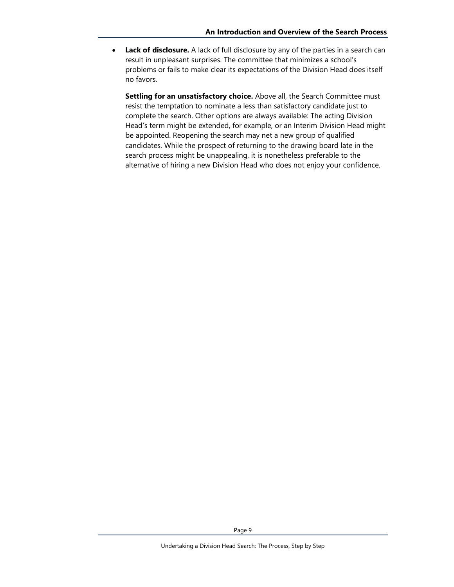• **Lack of disclosure.** A lack of full disclosure by any of the parties in a search can result in unpleasant surprises. The committee that minimizes a school's problems or fails to make clear its expectations of the Division Head does itself no favors.

**Settling for an unsatisfactory choice.** Above all, the Search Committee must resist the temptation to nominate a less than satisfactory candidate just to complete the search. Other options are always available: The acting Division Head's term might be extended, for example, or an Interim Division Head might be appointed. Reopening the search may net a new group of qualified candidates. While the prospect of returning to the drawing board late in the search process might be unappealing, it is nonetheless preferable to the alternative of hiring a new Division Head who does not enjoy your confidence.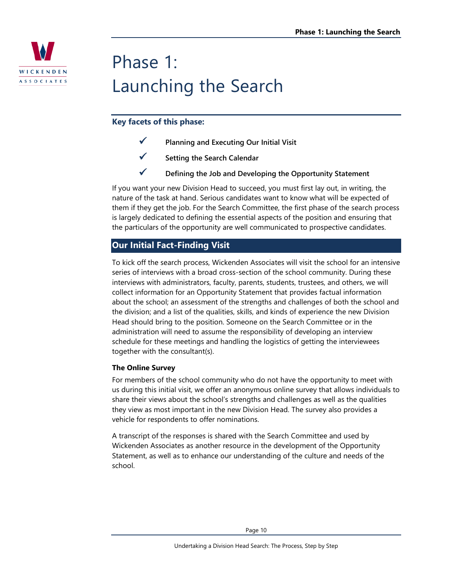

# Phase 1: Launching the Search

## **Key facets of this phase:**

- **Planning and Executing Our Initial Visit**
- **Setting the Search Calendar**
- **Defining the Job and Developing the Opportunity Statement**

If you want your new Division Head to succeed, you must first lay out, in writing, the nature of the task at hand. Serious candidates want to know what will be expected of them if they get the job. For the Search Committee, the first phase of the search process is largely dedicated to defining the essential aspects of the position and ensuring that the particulars of the opportunity are well communicated to prospective candidates.

## **Our Initial Fact-Finding Visit**

To kick off the search process, Wickenden Associates will visit the school for an intensive series of interviews with a broad cross-section of the school community. During these interviews with administrators, faculty, parents, students, trustees, and others, we will collect information for an Opportunity Statement that provides factual information about the school; an assessment of the strengths and challenges of both the school and the division; and a list of the qualities, skills, and kinds of experience the new Division Head should bring to the position. Someone on the Search Committee or in the administration will need to assume the responsibility of developing an interview schedule for these meetings and handling the logistics of getting the interviewees together with the consultant(s).

#### **The Online Survey**

For members of the school community who do not have the opportunity to meet with us during this initial visit, we offer an anonymous online survey that allows individuals to share their views about the school's strengths and challenges as well as the qualities they view as most important in the new Division Head. The survey also provides a vehicle for respondents to offer nominations.

A transcript of the responses is shared with the Search Committee and used by Wickenden Associates as another resource in the development of the Opportunity Statement, as well as to enhance our understanding of the culture and needs of the school.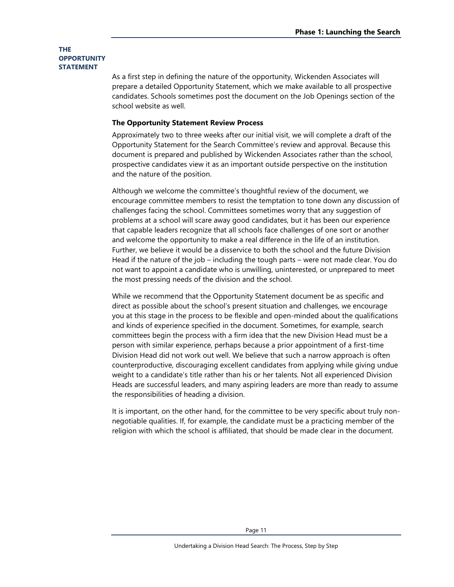#### **THE OPPORTUNITY STATEMENT**

As a first step in defining the nature of the opportunity, Wickenden Associates will prepare a detailed Opportunity Statement, which we make available to all prospective candidates. Schools sometimes post the document on the Job Openings section of the school website as well.

#### **The Opportunity Statement Review Process**

Approximately two to three weeks after our initial visit, we will complete a draft of the Opportunity Statement for the Search Committee's review and approval. Because this document is prepared and published by Wickenden Associates rather than the school, prospective candidates view it as an important outside perspective on the institution and the nature of the position.

Although we welcome the committee's thoughtful review of the document, we encourage committee members to resist the temptation to tone down any discussion of challenges facing the school. Committees sometimes worry that any suggestion of problems at a school will scare away good candidates, but it has been our experience that capable leaders recognize that all schools face challenges of one sort or another and welcome the opportunity to make a real difference in the life of an institution. Further, we believe it would be a disservice to both the school and the future Division Head if the nature of the job – including the tough parts – were not made clear. You do not want to appoint a candidate who is unwilling, uninterested, or unprepared to meet the most pressing needs of the division and the school.

While we recommend that the Opportunity Statement document be as specific and direct as possible about the school's present situation and challenges, we encourage you at this stage in the process to be flexible and open-minded about the qualifications and kinds of experience specified in the document. Sometimes, for example, search committees begin the process with a firm idea that the new Division Head must be a person with similar experience, perhaps because a prior appointment of a first-time Division Head did not work out well. We believe that such a narrow approach is often counterproductive, discouraging excellent candidates from applying while giving undue weight to a candidate's title rather than his or her talents. Not all experienced Division Heads are successful leaders, and many aspiring leaders are more than ready to assume the responsibilities of heading a division.

It is important, on the other hand, for the committee to be very specific about truly nonnegotiable qualities. If, for example, the candidate must be a practicing member of the religion with which the school is affiliated, that should be made clear in the document.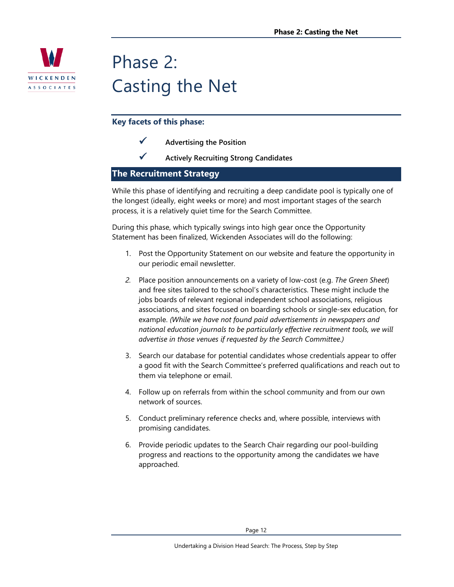

## Phase 2: Casting the Net

## **Key facets of this phase:**

- **Advertising the Position**
- **Actively Recruiting Strong Candidates**

### **The Recruitment Strategy**

While this phase of identifying and recruiting a deep candidate pool is typically one of the longest (ideally, eight weeks or more) and most important stages of the search process, it is a relatively quiet time for the Search Committee.

During this phase, which typically swings into high gear once the Opportunity Statement has been finalized, Wickenden Associates will do the following:

- 1. Post the Opportunity Statement on our website and feature the opportunity in our periodic email newsletter.
- *2.* Place position announcements on a variety of low-cost (e.g. *The Green Sheet*) and free sites tailored to the school's characteristics. These might include the jobs boards of relevant regional independent school associations, religious associations, and sites focused on boarding schools or single-sex education, for example. *(While we have not found paid advertisements in newspapers and national education journals to be particularly effective recruitment tools, we will advertise in those venues if requested by the Search Committee.)*
- 3. Search our database for potential candidates whose credentials appear to offer a good fit with the Search Committee's preferred qualifications and reach out to them via telephone or email.
- 4. Follow up on referrals from within the school community and from our own network of sources.
- 5. Conduct preliminary reference checks and, where possible, interviews with promising candidates.
- 6. Provide periodic updates to the Search Chair regarding our pool-building progress and reactions to the opportunity among the candidates we have approached.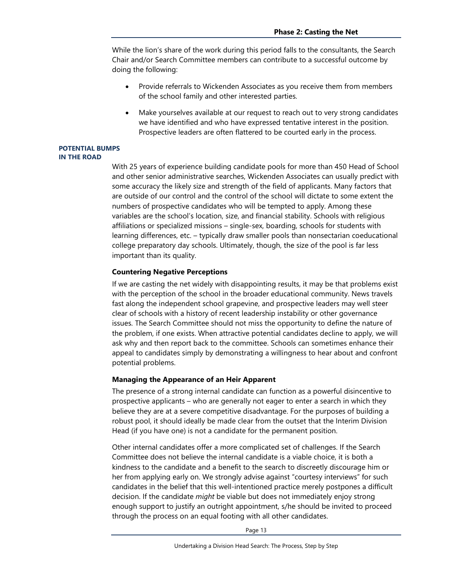While the lion's share of the work during this period falls to the consultants, the Search Chair and/or Search Committee members can contribute to a successful outcome by doing the following:

- Provide referrals to Wickenden Associates as you receive them from members of the school family and other interested parties.
- Make yourselves available at our request to reach out to very strong candidates we have identified and who have expressed tentative interest in the position. Prospective leaders are often flattered to be courted early in the process.

#### **POTENTIAL BUMPS IN THE ROAD**

With 25 years of experience building candidate pools for more than 450 Head of School and other senior administrative searches, Wickenden Associates can usually predict with some accuracy the likely size and strength of the field of applicants. Many factors that are outside of our control and the control of the school will dictate to some extent the numbers of prospective candidates who will be tempted to apply. Among these variables are the school's location, size, and financial stability. Schools with religious affiliations or specialized missions – single-sex, boarding, schools for students with learning differences, etc. – typically draw smaller pools than nonsectarian coeducational college preparatory day schools. Ultimately, though, the size of the pool is far less important than its quality.

#### **Countering Negative Perceptions**

If we are casting the net widely with disappointing results, it may be that problems exist with the perception of the school in the broader educational community. News travels fast along the independent school grapevine, and prospective leaders may well steer clear of schools with a history of recent leadership instability or other governance issues. The Search Committee should not miss the opportunity to define the nature of the problem, if one exists. When attractive potential candidates decline to apply, we will ask why and then report back to the committee. Schools can sometimes enhance their appeal to candidates simply by demonstrating a willingness to hear about and confront potential problems.

#### **Managing the Appearance of an Heir Apparent**

The presence of a strong internal candidate can function as a powerful disincentive to prospective applicants – who are generally not eager to enter a search in which they believe they are at a severe competitive disadvantage. For the purposes of building a robust pool, it should ideally be made clear from the outset that the Interim Division Head (if you have one) is not a candidate for the permanent position.

Other internal candidates offer a more complicated set of challenges. If the Search Committee does not believe the internal candidate is a viable choice, it is both a kindness to the candidate and a benefit to the search to discreetly discourage him or her from applying early on. We strongly advise against "courtesy interviews" for such candidates in the belief that this well-intentioned practice merely postpones a difficult decision. If the candidate *might* be viable but does not immediately enjoy strong enough support to justify an outright appointment, s/he should be invited to proceed through the process on an equal footing with all other candidates.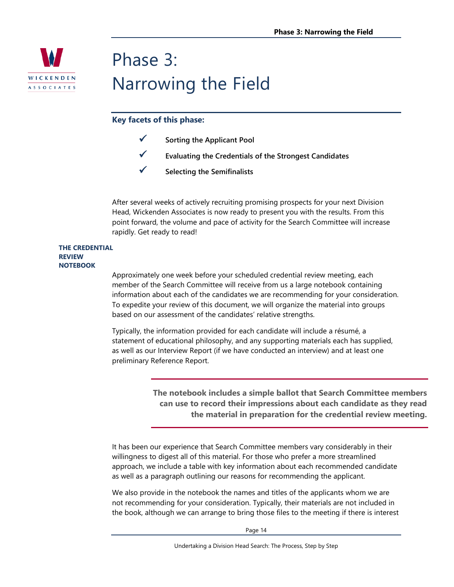

## Phase 3: Narrowing the Field

### **Key facets of this phase:**

- **Sorting the Applicant Pool**
- **Evaluating the Credentials of the Strongest Candidates**
- **Selecting the Semifinalists**

After several weeks of actively recruiting promising prospects for your next Division Head, Wickenden Associates is now ready to present you with the results. From this point forward, the volume and pace of activity for the Search Committee will increase rapidly. Get ready to read!

#### **THE CREDENTIAL REVIEW NOTEBOOK**

Approximately one week before your scheduled credential review meeting, each member of the Search Committee will receive from us a large notebook containing information about each of the candidates we are recommending for your consideration. To expedite your review of this document, we will organize the material into groups based on our assessment of the candidates' relative strengths.

Typically, the information provided for each candidate will include a résumé, a statement of educational philosophy, and any supporting materials each has supplied, as well as our Interview Report (if we have conducted an interview) and at least one preliminary Reference Report.

> **The notebook includes a simple ballot that Search Committee members can use to record their impressions about each candidate as they read the material in preparation for the credential review meeting.**

It has been our experience that Search Committee members vary considerably in their willingness to digest all of this material. For those who prefer a more streamlined approach, we include a table with key information about each recommended candidate as well as a paragraph outlining our reasons for recommending the applicant.

We also provide in the notebook the names and titles of the applicants whom we are not recommending for your consideration. Typically, their materials are not included in the book, although we can arrange to bring those files to the meeting if there is interest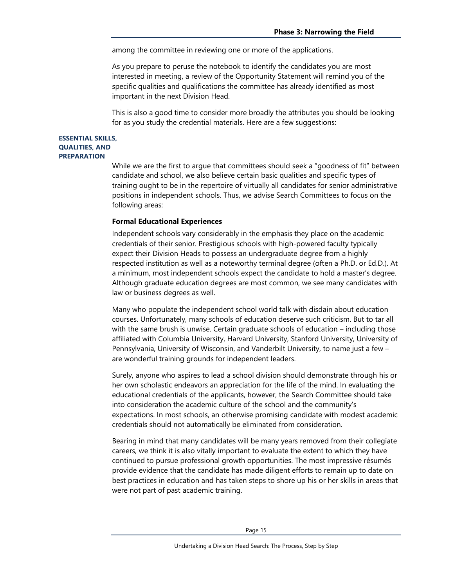among the committee in reviewing one or more of the applications.

As you prepare to peruse the notebook to identify the candidates you are most interested in meeting, a review of the Opportunity Statement will remind you of the specific qualities and qualifications the committee has already identified as most important in the next Division Head.

This is also a good time to consider more broadly the attributes you should be looking for as you study the credential materials. Here are a few suggestions:

#### **ESSENTIAL SKILLS, QUALITIES, AND PREPARATION**

While we are the first to argue that committees should seek a "goodness of fit" between candidate and school, we also believe certain basic qualities and specific types of training ought to be in the repertoire of virtually all candidates for senior administrative positions in independent schools. Thus, we advise Search Committees to focus on the following areas:

#### **Formal Educational Experiences**

Independent schools vary considerably in the emphasis they place on the academic credentials of their senior. Prestigious schools with high-powered faculty typically expect their Division Heads to possess an undergraduate degree from a highly respected institution as well as a noteworthy terminal degree (often a Ph.D. or Ed.D.). At a minimum, most independent schools expect the candidate to hold a master's degree. Although graduate education degrees are most common, we see many candidates with law or business degrees as well.

Many who populate the independent school world talk with disdain about education courses. Unfortunately, many schools of education deserve such criticism. But to tar all with the same brush is unwise. Certain graduate schools of education – including those affiliated with Columbia University, Harvard University, Stanford University, University of Pennsylvania, University of Wisconsin, and Vanderbilt University, to name just a few – are wonderful training grounds for independent leaders.

Surely, anyone who aspires to lead a school division should demonstrate through his or her own scholastic endeavors an appreciation for the life of the mind. In evaluating the educational credentials of the applicants, however, the Search Committee should take into consideration the academic culture of the school and the community's expectations. In most schools, an otherwise promising candidate with modest academic credentials should not automatically be eliminated from consideration.

Bearing in mind that many candidates will be many years removed from their collegiate careers, we think it is also vitally important to evaluate the extent to which they have continued to pursue professional growth opportunities. The most impressive résumés provide evidence that the candidate has made diligent efforts to remain up to date on best practices in education and has taken steps to shore up his or her skills in areas that were not part of past academic training.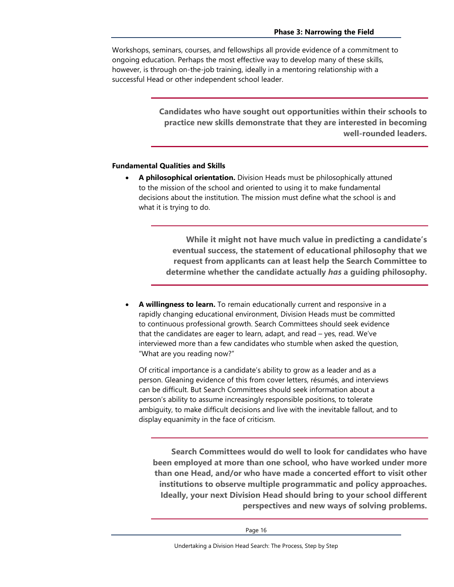Workshops, seminars, courses, and fellowships all provide evidence of a commitment to ongoing education. Perhaps the most effective way to develop many of these skills, however, is through on-the-job training, ideally in a mentoring relationship with a successful Head or other independent school leader.

> **Candidates who have sought out opportunities within their schools to practice new skills demonstrate that they are interested in becoming well-rounded leaders.**

#### **Fundamental Qualities and Skills**

• **A philosophical orientation.** Division Heads must be philosophically attuned to the mission of the school and oriented to using it to make fundamental decisions about the institution. The mission must define what the school is and what it is trying to do.

> **While it might not have much value in predicting a candidate's eventual success, the statement of educational philosophy that we request from applicants can at least help the Search Committee to determine whether the candidate actually** *has* **a guiding philosophy.**

• **A willingness to learn.** To remain educationally current and responsive in a rapidly changing educational environment, Division Heads must be committed to continuous professional growth. Search Committees should seek evidence that the candidates are eager to learn, adapt, and read – yes, read. We've interviewed more than a few candidates who stumble when asked the question, "What are you reading now?"

Of critical importance is a candidate's ability to grow as a leader and as a person. Gleaning evidence of this from cover letters, résumés, and interviews can be difficult. But Search Committees should seek information about a person's ability to assume increasingly responsible positions, to tolerate ambiguity, to make difficult decisions and live with the inevitable fallout, and to display equanimity in the face of criticism.

**Search Committees would do well to look for candidates who have been employed at more than one school, who have worked under more than one Head, and/or who have made a concerted effort to visit other institutions to observe multiple programmatic and policy approaches. Ideally, your next Division Head should bring to your school different perspectives and new ways of solving problems.**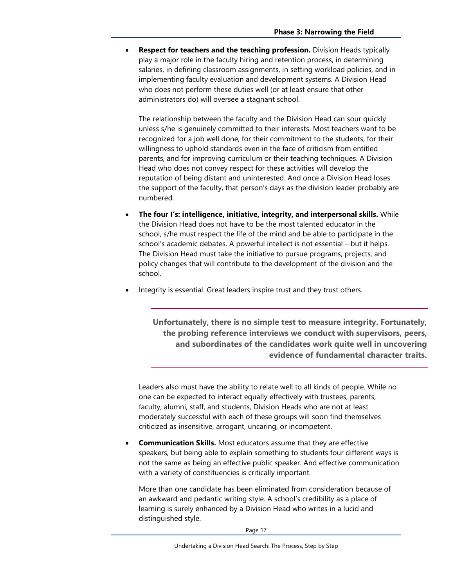• **Respect for teachers and the teaching profession.** Division Heads typically play a major role in the faculty hiring and retention process, in determining salaries, in defining classroom assignments, in setting workload policies, and in implementing faculty evaluation and development systems. A Division Head who does not perform these duties well (or at least ensure that other administrators do) will oversee a stagnant school.

The relationship between the faculty and the Division Head can sour quickly unless s/he is genuinely committed to their interests. Most teachers want to be recognized for a job well done, for their commitment to the students, for their willingness to uphold standards even in the face of criticism from entitled parents, and for improving curriculum or their teaching techniques. A Division Head who does not convey respect for these activities will develop the reputation of being distant and uninterested. And once a Division Head loses the support of the faculty, that person's days as the division leader probably are numbered.

- **The four I's: intelligence, initiative, integrity, and interpersonal skills.** While the Division Head does not have to be the most talented educator in the school, s/he must respect the life of the mind and be able to participate in the school's academic debates. A powerful intellect is not essential – but it helps. The Division Head must take the initiative to pursue programs, projects, and policy changes that will contribute to the development of the division and the school.
- Integrity is essential. Great leaders inspire trust and they trust others.

**Unfortunately, there is no simple test to measure integrity. Fortunately, the probing reference interviews we conduct with supervisors, peers, and subordinates of the candidates work quite well in uncovering evidence of fundamental character traits.** 

Leaders also must have the ability to relate well to all kinds of people. While no one can be expected to interact equally effectively with trustees, parents, faculty, alumni, staff, and students, Division Heads who are not at least moderately successful with each of these groups will soon find themselves criticized as insensitive, arrogant, uncaring, or incompetent.

• **Communication Skills.** Most educators assume that they are effective speakers, but being able to explain something to students four different ways is not the same as being an effective public speaker. And effective communication with a variety of constituencies is critically important.

More than one candidate has been eliminated from consideration because of an awkward and pedantic writing style. A school's credibility as a place of learning is surely enhanced by a Division Head who writes in a lucid and distinguished style.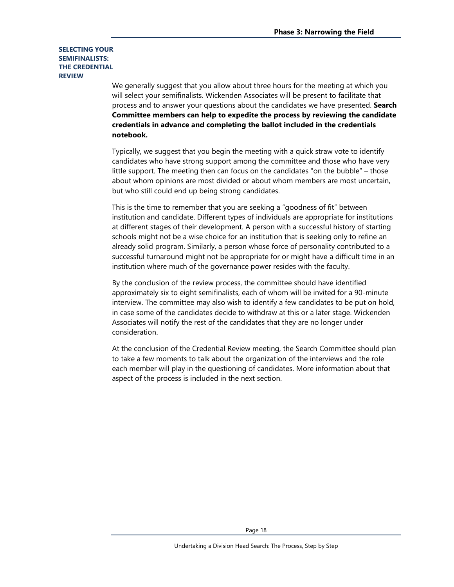#### **SELECTING YOUR SEMIFINALISTS: THE CREDENTIAL REVIEW**

We generally suggest that you allow about three hours for the meeting at which you will select your semifinalists. Wickenden Associates will be present to facilitate that process and to answer your questions about the candidates we have presented. **Search Committee members can help to expedite the process by reviewing the candidate credentials in advance and completing the ballot included in the credentials notebook.**

Typically, we suggest that you begin the meeting with a quick straw vote to identify candidates who have strong support among the committee and those who have very little support. The meeting then can focus on the candidates "on the bubble" – those about whom opinions are most divided or about whom members are most uncertain, but who still could end up being strong candidates.

This is the time to remember that you are seeking a "goodness of fit" between institution and candidate. Different types of individuals are appropriate for institutions at different stages of their development. A person with a successful history of starting schools might not be a wise choice for an institution that is seeking only to refine an already solid program. Similarly, a person whose force of personality contributed to a successful turnaround might not be appropriate for or might have a difficult time in an institution where much of the governance power resides with the faculty.

By the conclusion of the review process, the committee should have identified approximately six to eight semifinalists, each of whom will be invited for a 90-minute interview. The committee may also wish to identify a few candidates to be put on hold, in case some of the candidates decide to withdraw at this or a later stage. Wickenden Associates will notify the rest of the candidates that they are no longer under consideration.

At the conclusion of the Credential Review meeting, the Search Committee should plan to take a few moments to talk about the organization of the interviews and the role each member will play in the questioning of candidates. More information about that aspect of the process is included in the next section.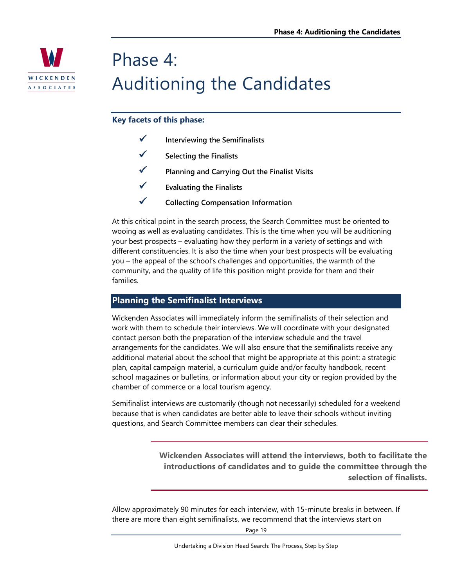

## Phase 4: Auditioning the Candidates

## **Key facets of this phase:**

- **Interviewing the Semifinalists**
- **Selecting the Finalists**
- **Planning and Carrying Out the Finalist Visits**
- **Evaluating the Finalists**
- **Collecting Compensation Information**

At this critical point in the search process, the Search Committee must be oriented to wooing as well as evaluating candidates. This is the time when you will be auditioning your best prospects – evaluating how they perform in a variety of settings and with different constituencies. It is also the time when your best prospects will be evaluating you – the appeal of the school's challenges and opportunities, the warmth of the community, and the quality of life this position might provide for them and their families.

## **Planning the Semifinalist Interviews**

Wickenden Associates will immediately inform the semifinalists of their selection and work with them to schedule their interviews. We will coordinate with your designated contact person both the preparation of the interview schedule and the travel arrangements for the candidates. We will also ensure that the semifinalists receive any additional material about the school that might be appropriate at this point: a strategic plan, capital campaign material, a curriculum guide and/or faculty handbook, recent school magazines or bulletins, or information about your city or region provided by the chamber of commerce or a local tourism agency.

Semifinalist interviews are customarily (though not necessarily) scheduled for a weekend because that is when candidates are better able to leave their schools without inviting questions, and Search Committee members can clear their schedules.

> **Wickenden Associates will attend the interviews, both to facilitate the introductions of candidates and to guide the committee through the selection of finalists.**

Allow approximately 90 minutes for each interview, with 15-minute breaks in between. If there are more than eight semifinalists, we recommend that the interviews start on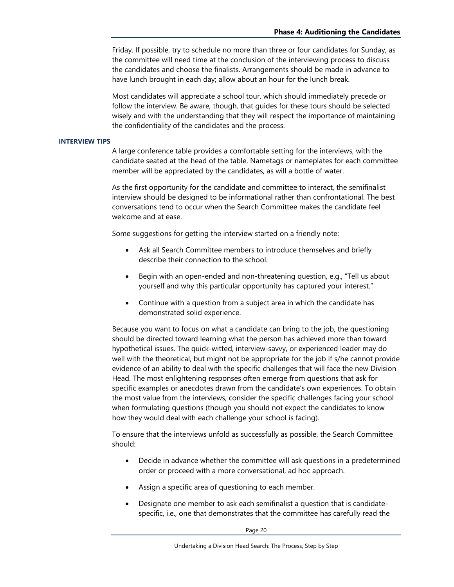Friday. If possible, try to schedule no more than three or four candidates for Sunday, as the committee will need time at the conclusion of the interviewing process to discuss the candidates and choose the finalists. Arrangements should be made in advance to have lunch brought in each day; allow about an hour for the lunch break.

Most candidates will appreciate a school tour, which should immediately precede or follow the interview. Be aware, though, that guides for these tours should be selected wisely and with the understanding that they will respect the importance of maintaining the confidentiality of the candidates and the process.

#### **INTERVIEW TIPS**

A large conference table provides a comfortable setting for the interviews, with the candidate seated at the head of the table. Nametags or nameplates for each committee member will be appreciated by the candidates, as will a bottle of water.

As the first opportunity for the candidate and committee to interact, the semifinalist interview should be designed to be informational rather than confrontational. The best conversations tend to occur when the Search Committee makes the candidate feel welcome and at ease.

Some suggestions for getting the interview started on a friendly note:

- Ask all Search Committee members to introduce themselves and briefly describe their connection to the school.
- Begin with an open-ended and non-threatening question, e.g., "Tell us about yourself and why this particular opportunity has captured your interest."
- Continue with a question from a subject area in which the candidate has demonstrated solid experience.

Because you want to focus on what a candidate can bring to the job, the questioning should be directed toward learning what the person has achieved more than toward hypothetical issues. The quick-witted, interview-savvy, or experienced leader may do well with the theoretical, but might not be appropriate for the job if s/he cannot provide evidence of an ability to deal with the specific challenges that will face the new Division Head. The most enlightening responses often emerge from questions that ask for specific examples or anecdotes drawn from the candidate's own experiences. To obtain the most value from the interviews, consider the specific challenges facing your school when formulating questions (though you should not expect the candidates to know how they would deal with each challenge your school is facing).

To ensure that the interviews unfold as successfully as possible, the Search Committee should:

- Decide in advance whether the committee will ask questions in a predetermined order or proceed with a more conversational, ad hoc approach.
- Assign a specific area of questioning to each member.
- Designate one member to ask each semifinalist a question that is candidatespecific, i.e., one that demonstrates that the committee has carefully read the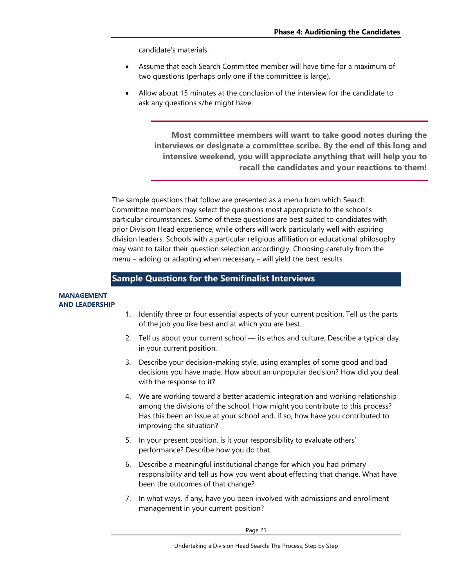candidate's materials.

- Assume that each Search Committee member will have time for a maximum of two questions (perhaps only one if the committee is large).
- Allow about 15 minutes at the conclusion of the interview for the candidate to ask any questions s/he might have.

**Most committee members will want to take good notes during the interviews or designate a committee scribe. By the end of this long and intensive weekend, you will appreciate anything that will help you to recall the candidates and your reactions to them!** 

The sample questions that follow are presented as a menu from which Search Committee members may select the questions most appropriate to the school's particular circumstances. Some of these questions are best suited to candidates with prior Division Head experience, while others will work particularly well with aspiring division leaders. Schools with a particular religious affiliation or educational philosophy may want to tailor their question selection accordingly. Choosing carefully from the menu – adding or adapting when necessary – will yield the best results.

## **Sample Questions for the Semifinalist Interviews**

#### **MANAGEMENT AND LEADERSHIP**

- 1. Identify three or four essential aspects of your current position. Tell us the parts of the job you like best and at which you are best.
- 2. Tell us about your current school its ethos and culture. Describe a typical day in your current position.
- 3. Describe your decision-making style, using examples of some good and bad decisions you have made. How about an unpopular decision? How did you deal with the response to it?
- 4. We are working toward a better academic integration and working relationship among the divisions of the school. How might you contribute to this process? Has this been an issue at your school and, if so, how have you contributed to improving the situation?
- 5. In your present position, is it your responsibility to evaluate others' performance? Describe how you do that.
- 6. Describe a meaningful institutional change for which you had primary responsibility and tell us how you went about effecting that change. What have been the outcomes of that change?
- 7. In what ways, if any, have you been involved with admissions and enrollment management in your current position?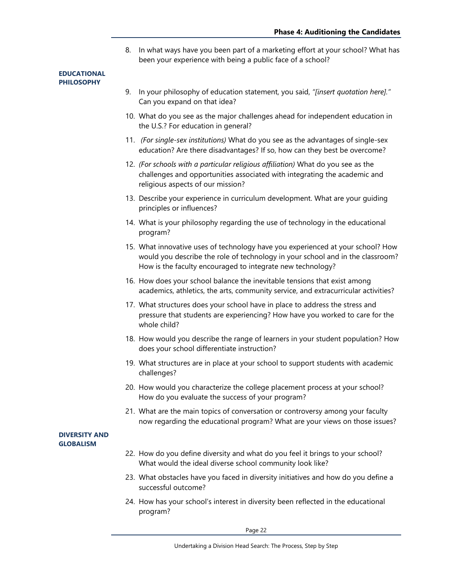8. In what ways have you been part of a marketing effort at your school? What has been your experience with being a public face of a school?

#### **EDUCATIONAL PHILOSOPHY**

- 9. In your philosophy of education statement, you said, *"[insert quotation here]."* Can you expand on that idea?
- 10. What do you see as the major challenges ahead for independent education in the U.S.? For education in general?
- 11. *(For single-sex institutions)* What do you see as the advantages of single-sex education? Are there disadvantages? If so, how can they best be overcome?
- 12. *(For schools with a particular religious affiliation)* What do you see as the challenges and opportunities associated with integrating the academic and religious aspects of our mission?
- 13. Describe your experience in curriculum development. What are your guiding principles or influences?
- 14. What is your philosophy regarding the use of technology in the educational program?
- 15. What innovative uses of technology have you experienced at your school? How would you describe the role of technology in your school and in the classroom? How is the faculty encouraged to integrate new technology?
- 16. How does your school balance the inevitable tensions that exist among academics, athletics, the arts, community service, and extracurricular activities?
- 17. What structures does your school have in place to address the stress and pressure that students are experiencing? How have you worked to care for the whole child?
- 18. How would you describe the range of learners in your student population? How does your school differentiate instruction?
- 19. What structures are in place at your school to support students with academic challenges?
- 20. How would you characterize the college placement process at your school? How do you evaluate the success of your program?
- 21. What are the main topics of conversation or controversy among your faculty now regarding the educational program? What are your views on those issues?

#### **DIVERSITY AND GLOBALISM**

- 22. How do you define diversity and what do you feel it brings to your school? What would the ideal diverse school community look like?
- 23. What obstacles have you faced in diversity initiatives and how do you define a successful outcome?
- 24. How has your school's interest in diversity been reflected in the educational program?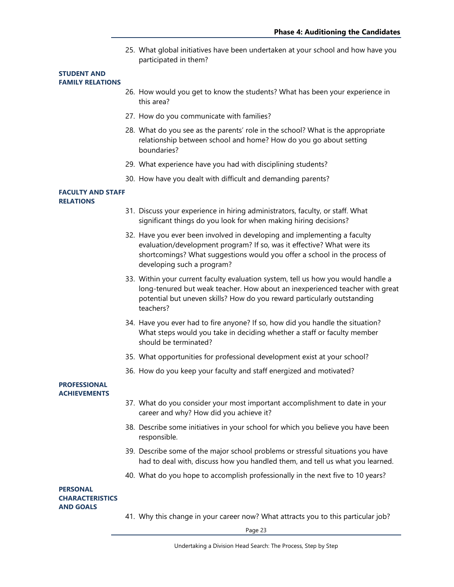25. What global initiatives have been undertaken at your school and how have you participated in them?

#### **STUDENT AND FAMILY RELATIONS**

- 26. How would you get to know the students? What has been your experience in this area?
- 27. How do you communicate with families?
- 28. What do you see as the parents' role in the school? What is the appropriate relationship between school and home? How do you go about setting boundaries?
- 29. What experience have you had with disciplining students?
- 30. How have you dealt with difficult and demanding parents?

#### **FACULTY AND STAFF RELATIONS**

- 31. Discuss your experience in hiring administrators, faculty, or staff. What significant things do you look for when making hiring decisions?
- 32. Have you ever been involved in developing and implementing a faculty evaluation/development program? If so, was it effective? What were its shortcomings? What suggestions would you offer a school in the process of developing such a program?
- 33. Within your current faculty evaluation system, tell us how you would handle a long-tenured but weak teacher. How about an inexperienced teacher with great potential but uneven skills? How do you reward particularly outstanding teachers?
- 34. Have you ever had to fire anyone? If so, how did you handle the situation? What steps would you take in deciding whether a staff or faculty member should be terminated?
- 35. What opportunities for professional development exist at your school?
- 36. How do you keep your faculty and staff energized and motivated?

#### **PROFESSIONAL ACHIEVEMENTS**

- 37. What do you consider your most important accomplishment to date in your career and why? How did you achieve it?
- 38. Describe some initiatives in your school for which you believe you have been responsible.
- 39. Describe some of the major school problems or stressful situations you have had to deal with, discuss how you handled them, and tell us what you learned.
- 40. What do you hope to accomplish professionally in the next five to 10 years?

#### **PERSONAL CHARACTERISTICS AND GOALS**

41. Why this change in your career now? What attracts you to this particular job?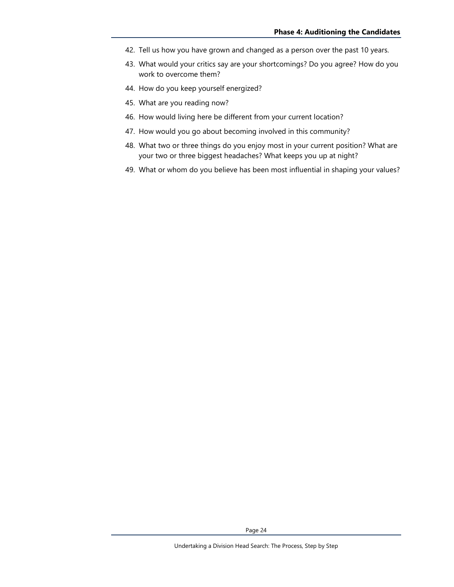- 42. Tell us how you have grown and changed as a person over the past 10 years.
- 43. What would your critics say are your shortcomings? Do you agree? How do you work to overcome them?
- 44. How do you keep yourself energized?
- 45. What are you reading now?
- 46. How would living here be different from your current location?
- 47. How would you go about becoming involved in this community?
- 48. What two or three things do you enjoy most in your current position? What are your two or three biggest headaches? What keeps you up at night?
- 49. What or whom do you believe has been most influential in shaping your values?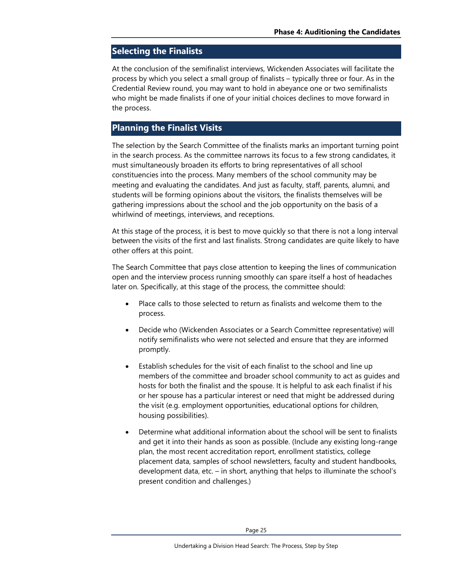## **Selecting the Finalists**

At the conclusion of the semifinalist interviews, Wickenden Associates will facilitate the process by which you select a small group of finalists – typically three or four. As in the Credential Review round, you may want to hold in abeyance one or two semifinalists who might be made finalists if one of your initial choices declines to move forward in the process.

## **Planning the Finalist Visits**

The selection by the Search Committee of the finalists marks an important turning point in the search process. As the committee narrows its focus to a few strong candidates, it must simultaneously broaden its efforts to bring representatives of all school constituencies into the process. Many members of the school community may be meeting and evaluating the candidates. And just as faculty, staff, parents, alumni, and students will be forming opinions about the visitors, the finalists themselves will be gathering impressions about the school and the job opportunity on the basis of a whirlwind of meetings, interviews, and receptions.

At this stage of the process, it is best to move quickly so that there is not a long interval between the visits of the first and last finalists. Strong candidates are quite likely to have other offers at this point.

The Search Committee that pays close attention to keeping the lines of communication open and the interview process running smoothly can spare itself a host of headaches later on. Specifically, at this stage of the process, the committee should:

- Place calls to those selected to return as finalists and welcome them to the process.
- Decide who (Wickenden Associates or a Search Committee representative) will notify semifinalists who were not selected and ensure that they are informed promptly.
- Establish schedules for the visit of each finalist to the school and line up members of the committee and broader school community to act as guides and hosts for both the finalist and the spouse. It is helpful to ask each finalist if his or her spouse has a particular interest or need that might be addressed during the visit (e.g. employment opportunities, educational options for children, housing possibilities).
- Determine what additional information about the school will be sent to finalists and get it into their hands as soon as possible. (Include any existing long-range plan, the most recent accreditation report, enrollment statistics, college placement data, samples of school newsletters, faculty and student handbooks, development data, etc. – in short, anything that helps to illuminate the school's present condition and challenges.)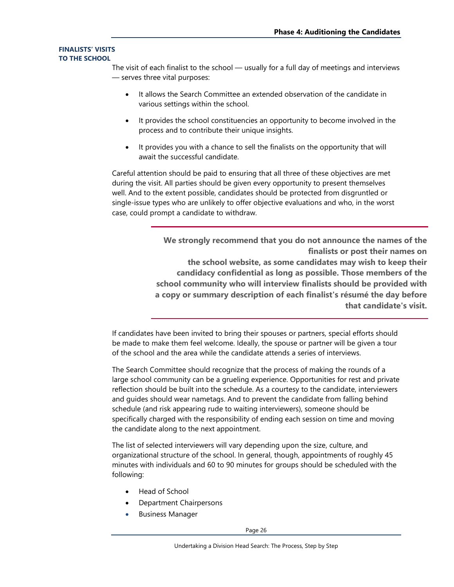#### **FINALISTS' VISITS TO THE SCHOOL**

The visit of each finalist to the school — usually for a full day of meetings and interviews — serves three vital purposes:

- It allows the Search Committee an extended observation of the candidate in various settings within the school.
- It provides the school constituencies an opportunity to become involved in the process and to contribute their unique insights.
- It provides you with a chance to sell the finalists on the opportunity that will await the successful candidate.

Careful attention should be paid to ensuring that all three of these objectives are met during the visit. All parties should be given every opportunity to present themselves well. And to the extent possible, candidates should be protected from disgruntled or single-issue types who are unlikely to offer objective evaluations and who, in the worst case, could prompt a candidate to withdraw.

> **We strongly recommend that you do not announce the names of the finalists or post their names on the school website, as some candidates may wish to keep their candidacy confidential as long as possible. Those members of the school community who will interview finalists should be provided with a copy or summary description of each finalist's résumé the day before that candidate's visit.**

If candidates have been invited to bring their spouses or partners, special efforts should be made to make them feel welcome. Ideally, the spouse or partner will be given a tour of the school and the area while the candidate attends a series of interviews.

The Search Committee should recognize that the process of making the rounds of a large school community can be a grueling experience. Opportunities for rest and private reflection should be built into the schedule. As a courtesy to the candidate, interviewers and guides should wear nametags. And to prevent the candidate from falling behind schedule (and risk appearing rude to waiting interviewers), someone should be specifically charged with the responsibility of ending each session on time and moving the candidate along to the next appointment.

The list of selected interviewers will vary depending upon the size, culture, and organizational structure of the school. In general, though, appointments of roughly 45 minutes with individuals and 60 to 90 minutes for groups should be scheduled with the following:

- Head of School
- Department Chairpersons
- Business Manager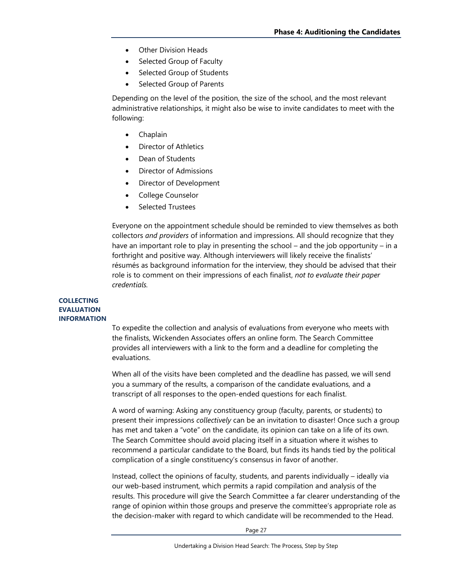- Other Division Heads
- Selected Group of Faculty
- Selected Group of Students
- Selected Group of Parents

Depending on the level of the position, the size of the school, and the most relevant administrative relationships, it might also be wise to invite candidates to meet with the following:

- Chaplain
- Director of Athletics
- Dean of Students
- Director of Admissions
- Director of Development
- College Counselor
- Selected Trustees

Everyone on the appointment schedule should be reminded to view themselves as both collectors *and providers* of information and impressions. All should recognize that they have an important role to play in presenting the school – and the job opportunity – in a forthright and positive way. Although interviewers will likely receive the finalists' résumés as background information for the interview, they should be advised that their role is to comment on their impressions of each finalist, *not to evaluate their paper credentials.*

#### **COLLECTING EVALUATION INFORMATION**

To expedite the collection and analysis of evaluations from everyone who meets with the finalists, Wickenden Associates offers an online form. The Search Committee provides all interviewers with a link to the form and a deadline for completing the evaluations.

When all of the visits have been completed and the deadline has passed, we will send you a summary of the results, a comparison of the candidate evaluations, and a transcript of all responses to the open-ended questions for each finalist.

A word of warning: Asking any constituency group (faculty, parents, or students) to present their impressions *collectively* can be an invitation to disaster! Once such a group has met and taken a "vote" on the candidate, its opinion can take on a life of its own. The Search Committee should avoid placing itself in a situation where it wishes to recommend a particular candidate to the Board, but finds its hands tied by the political complication of a single constituency's consensus in favor of another.

Instead, collect the opinions of faculty, students, and parents individually – ideally via our web-based instrument, which permits a rapid compilation and analysis of the results. This procedure will give the Search Committee a far clearer understanding of the range of opinion within those groups and preserve the committee's appropriate role as the decision-maker with regard to which candidate will be recommended to the Head.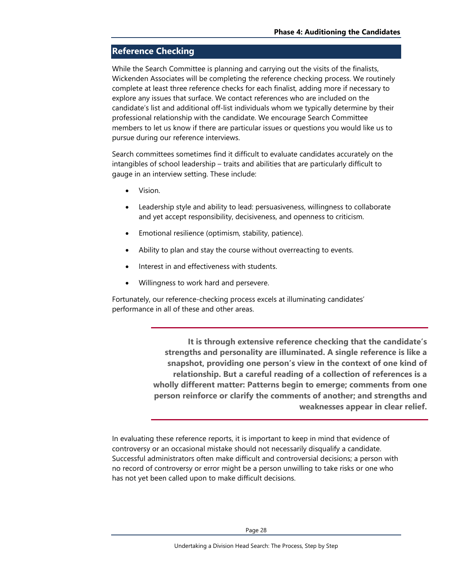## **Reference Checking**

While the Search Committee is planning and carrying out the visits of the finalists, Wickenden Associates will be completing the reference checking process. We routinely complete at least three reference checks for each finalist, adding more if necessary to explore any issues that surface. We contact references who are included on the candidate's list and additional off-list individuals whom we typically determine by their professional relationship with the candidate. We encourage Search Committee members to let us know if there are particular issues or questions you would like us to pursue during our reference interviews.

Search committees sometimes find it difficult to evaluate candidates accurately on the intangibles of school leadership – traits and abilities that are particularly difficult to gauge in an interview setting. These include:

- Vision.
- Leadership style and ability to lead: persuasiveness, willingness to collaborate and yet accept responsibility, decisiveness, and openness to criticism.
- Emotional resilience (optimism, stability, patience).
- Ability to plan and stay the course without overreacting to events.
- Interest in and effectiveness with students.
- Willingness to work hard and persevere.

Fortunately, our reference-checking process excels at illuminating candidates' performance in all of these and other areas.

> **It is through extensive reference checking that the candidate's strengths and personality are illuminated. A single reference is like a snapshot, providing one person's view in the context of one kind of relationship. But a careful reading of a collection of references is a wholly different matter: Patterns begin to emerge; comments from one person reinforce or clarify the comments of another; and strengths and weaknesses appear in clear relief.**

In evaluating these reference reports, it is important to keep in mind that evidence of controversy or an occasional mistake should not necessarily disqualify a candidate. Successful administrators often make difficult and controversial decisions; a person with no record of controversy or error might be a person unwilling to take risks or one who has not yet been called upon to make difficult decisions.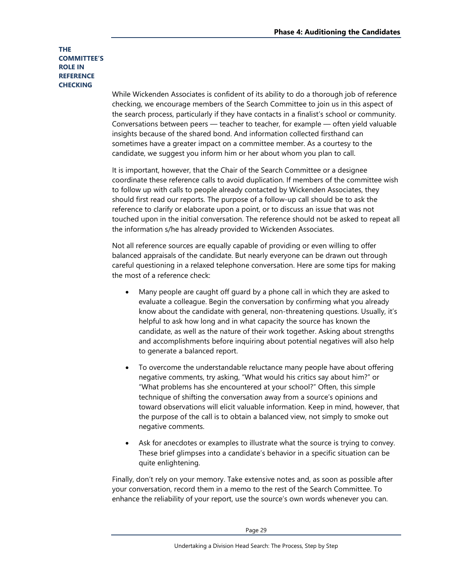#### **THE COMMITTEE'S ROLE IN REFERENCE CHECKING**

While Wickenden Associates is confident of its ability to do a thorough job of reference checking, we encourage members of the Search Committee to join us in this aspect of the search process, particularly if they have contacts in a finalist's school or community. Conversations between peers — teacher to teacher, for example — often yield valuable insights because of the shared bond. And information collected firsthand can sometimes have a greater impact on a committee member. As a courtesy to the candidate, we suggest you inform him or her about whom you plan to call.

It is important, however, that the Chair of the Search Committee or a designee coordinate these reference calls to avoid duplication. If members of the committee wish to follow up with calls to people already contacted by Wickenden Associates, they should first read our reports. The purpose of a follow-up call should be to ask the reference to clarify or elaborate upon a point, or to discuss an issue that was not touched upon in the initial conversation. The reference should not be asked to repeat all the information s/he has already provided to Wickenden Associates.

Not all reference sources are equally capable of providing or even willing to offer balanced appraisals of the candidate. But nearly everyone can be drawn out through careful questioning in a relaxed telephone conversation. Here are some tips for making the most of a reference check:

- Many people are caught off guard by a phone call in which they are asked to evaluate a colleague. Begin the conversation by confirming what you already know about the candidate with general, non-threatening questions. Usually, it's helpful to ask how long and in what capacity the source has known the candidate, as well as the nature of their work together. Asking about strengths and accomplishments before inquiring about potential negatives will also help to generate a balanced report.
- To overcome the understandable reluctance many people have about offering negative comments, try asking, "What would his critics say about him?" or "What problems has she encountered at your school?" Often, this simple technique of shifting the conversation away from a source's opinions and toward observations will elicit valuable information. Keep in mind, however, that the purpose of the call is to obtain a balanced view, not simply to smoke out negative comments.
- Ask for anecdotes or examples to illustrate what the source is trying to convey. These brief glimpses into a candidate's behavior in a specific situation can be quite enlightening.

Finally, don't rely on your memory. Take extensive notes and, as soon as possible after your conversation, record them in a memo to the rest of the Search Committee. To enhance the reliability of your report, use the source's own words whenever you can.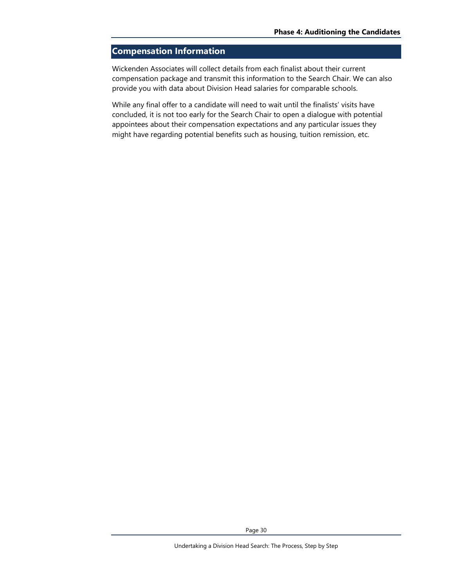## **Compensation Information**

Wickenden Associates will collect details from each finalist about their current compensation package and transmit this information to the Search Chair. We can also provide you with data about Division Head salaries for comparable schools.

While any final offer to a candidate will need to wait until the finalists' visits have concluded, it is not too early for the Search Chair to open a dialogue with potential appointees about their compensation expectations and any particular issues they might have regarding potential benefits such as housing, tuition remission, etc.